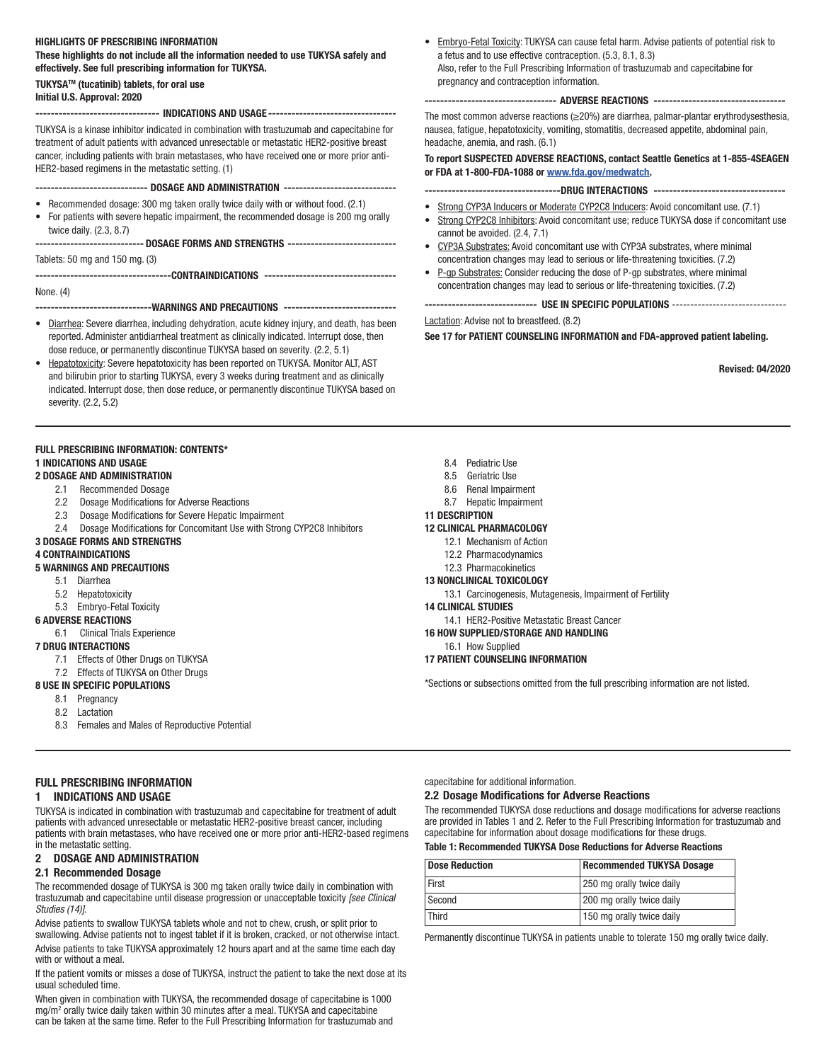#### HIGHLIGHTS OF PRESCRIBING INFORMATION

#### These highlights do not include all the information needed to use TUKYSA safely and effectively. See full prescribing information for TUKYSA.

TUKYSATM (tucatinib) tablets, for oral use Initial U.S. Approval: 2020

-------------------------------- INDICATIONS AND USAGE ---------------------------------

TUKYSA is a kinase inhibitor indicated in combination with trastuzumab and capecitabine for treatment of adult patients with advanced unresectable or metastatic HER2-positive breast cancer, including patients with brain metastases, who have received one or more prior anti-HER2-based regimens in the metastatic setting. (1)

----------------------------- DOSAGE AND ADMINISTRATION -----------------------------

- Recommended dosage: 300 mg taken orally twice daily with or without food. (2.1)
- For patients with severe hepatic impairment, the recommended dosage is 200 mg orally twice daily. (2.3, 8.7)

---------------------------- DOSAGE FORMS AND STRENGTHS ----------------------------

Tablets: 50 mg and 150 mg. (3)

---------------------------CONTRAINDICATIONS -----------------------------------

#### None. (4)

-------------------------------WARNINGS AND PRECAUTIONS --------------------------

- Diarrhea: Severe diarrhea, including dehydration, acute kidney injury, and death, has been reported. Administer antidiarrheal treatment as clinically indicated. Interrupt dose, then dose reduce, or permanently discontinue TUKYSA based on severity. (2.2, 5.1)
- Hepatotoxicity: Severe hepatotoxicity has been reported on TUKYSA. Monitor ALT, AST and bilirubin prior to starting TUKYSA, every 3 weeks during treatment and as clinically indicated. Interrupt dose, then dose reduce, or permanently discontinue TUKYSA based on severity. (2.2, 5.2)

# FULL PRESCRIBING INFORMATION: CONTENTS\*

#### 1 INDICATIONS AND USAGE 2 DOSAGE AND ADMINISTRATION

- 2.1 Recommended Dosage
- 2.2 Dosage Modifications for Adverse Reactions
- 
- 2.3 Dosage Modifications for Severe Hepatic Impairment 2.4 Dosage Modifications for Concomitant Use with Strong CYP2C8 Inhibitors

# 3 DOSAGE FORMS AND STRENGTHS

#### 4 CONTRAINDICATIONS

#### 5 WARNINGS AND PRECAUTIONS

- 5.1 Diarrhea
- 5.2 Hepatotoxicity
- 5.3 Embryo-Fetal Toxicity
- 6 ADVERSE REACTIONS
- 6.1 Clinical Trials Experience

#### 7 DRUG INTERACTIONS

- 7.1 Effects of Other Drugs on TUKYSA
- 7.2 Effects of TUKYSA on Other Drugs
- 8 USE IN SPECIFIC POPULATIONS
- 8.1 Pregnancy
	- 8.2 Lactation
	- 8.3 Females and Males of Reproductive Potential

• Embryo-Fetal Toxicity: TUKYSA can cause fetal harm. Advise patients of potential risk to a fetus and to use effective contraception. (5.3, 8.1, 8.3) Also, refer to the Full Prescribing Information of trastuzumab and capecitabine for pregnancy and contraception information.

#### ---------------------------------- ADVERSE REACTIONS ----------------------------------

The most common adverse reactions (≥20%) are diarrhea, palmar-plantar erythrodysesthesia, nausea, fatigue, hepatotoxicity, vomiting, stomatitis, decreased appetite, abdominal pain, headache, anemia, and rash. (6.1)

#### To report SUSPECTED ADVERSE REACTIONS, contact Seattle Genetics at 1-855-4SEAGEN or FDA at 1-800-FDA-1088 or [www.fda.gov/medwatch](http://www.fda.gov/medwatch).

- ------------------------------DRUG INTERACTIONS ---------------------------------
- Strong CYP3A Inducers or Moderate CYP2C8 Inducers: Avoid concomitant use. (7.1)
- Strong CYP2C8 Inhibitors: Avoid concomitant use; reduce TUKYSA dose if concomitant use cannot be avoided. (2.4, 7.1)
- CYP3A Substrates: Avoid concomitant use with CYP3A substrates, where minimal concentration changes may lead to serious or life-threatening toxicities. (7.2)
- P-gp Substrates: Consider reducing the dose of P-gp substrates, where minimal concentration changes may lead to serious or life-threatening toxicities. (7.2)

-------------------- USE IN SPECIFIC POPULATIONS -------------------------------

Lactation: Advise not to breastfeed. (8.2)

See 17 for PATIENT COUNSELING INFORMATION and FDA-approved patient labeling.

Revised: 04/2020

- 8.4 Pediatric Use
- 8.5 Geriatric Use
- 8.6 Renal Impairment
- 8.7 Hepatic Impairment

#### 11 DESCRIPTION

- 12 CLINICAL PHARMACOLOGY
	- 12.1 Mechanism of Action
	- 12.2 Pharmacodynamics
	- 12.3 Pharmacokinetics

#### 13 NONCLINICAL TOXICOLOGY

- 13.1 Carcinogenesis, Mutagenesis, Impairment of Fertility
- 14 CLINICAL STUDIES
- 14.1 HER2-Positive Metastatic Breast Cancer
- 16 HOW SUPPLIED/STORAGE AND HANDLING
	- 16.1 How Supplied

#### 17 PATIENT COUNSELING INFORMATION

\*Sections or subsections omitted from the full prescribing information are not listed.

#### FULL PRESCRIBING INFORMATION 1 INDICATIONS AND USAGE

TUKYSA is indicated in combination with trastuzumab and capecitabine for treatment of adult patients with advanced unresectable or metastatic HER2-positive breast cancer, including patients with brain metastases, who have received one or more prior anti-HER2-based regimens in the metastatic setting.

#### 2 DOSAGE AND ADMINISTRATION

#### 2.1 Recommended Dosage

The recommended dosage of TUKYSA is 300 mg taken orally twice daily in combination with trastuzumab and capecitabine until disease progression or unacceptable toxicity *[see Clinical Studies (14)]*.

Advise patients to swallow TUKYSA tablets whole and not to chew, crush, or split prior to swallowing. Advise patients not to ingest tablet if it is broken, cracked, or not otherwise intact. Advise patients to take TUKYSA approximately 12 hours apart and at the same time each day with or without a meal.

If the patient vomits or misses a dose of TUKYSA, instruct the patient to take the next dose at its usual scheduled time.

When given in combination with TUKYSA, the recommended dosage of capecitabine is 1000 mg/m<sup>2</sup> orally twice daily taken within 30 minutes after a meal. TUKYSA and capecitabine can be taken at the same time. Refer to the Full Prescribing Information for trastuzumab and capecitabine for additional information.

#### 2.2 Dosage Modifications for Adverse Reactions

The recommended TUKYSA dose reductions and dosage modifications for adverse reactions are provided in Tables 1 and 2. Refer to the Full Prescribing Information for trastuzumab and capecitabine for information about dosage modifications for these drugs.

#### Table 1: Recommended TUKYSA Dose Reductions for Adverse Reactions

| <b>Dose Reduction</b> | <b>Recommended TUKYSA Dosage</b> |
|-----------------------|----------------------------------|
| First                 | 250 mg orally twice daily        |
| Second                | 200 mg orally twice daily        |
| <b>Third</b>          | 150 mg orally twice daily        |

Permanently discontinue TUKYSA in patients unable to tolerate 150 mg orally twice daily.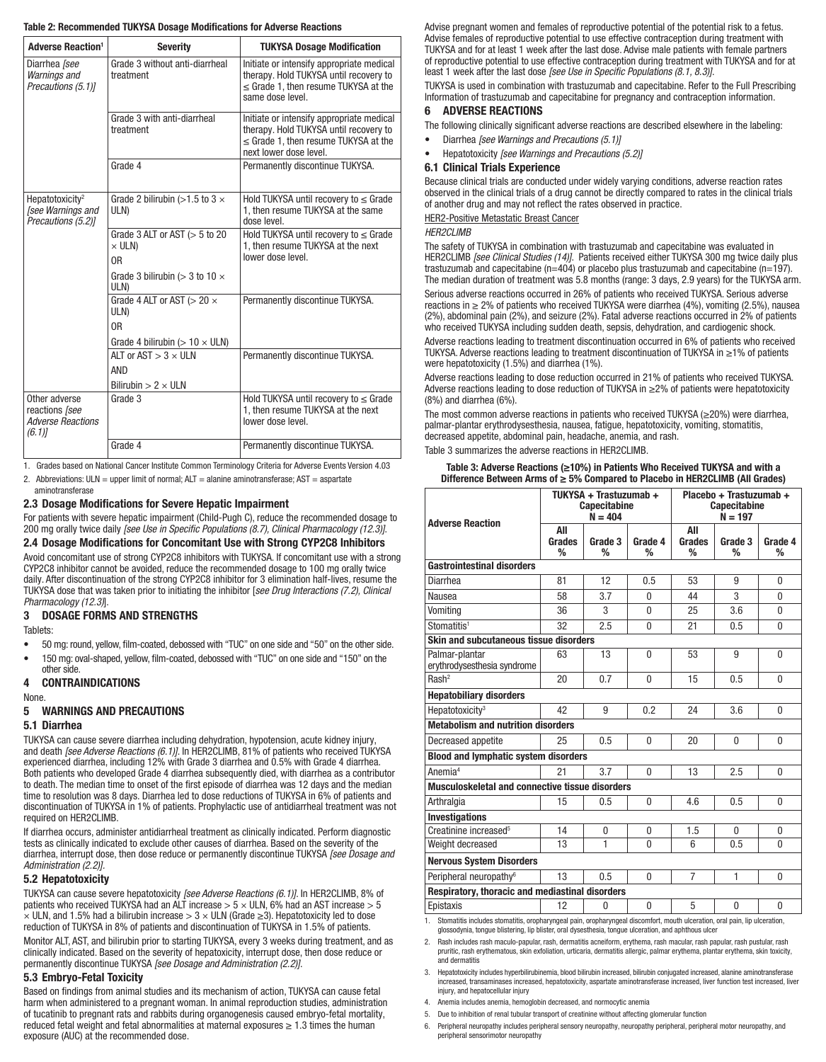#### Table 2: Recommended TUKYSA Dosage Modifications for Adverse Reactions

| <b>Adverse Reaction1</b>                                                      | <b>Severity</b>                                                     | <b>TUKYSA Dosage Modification</b>                                                                                                                          |
|-------------------------------------------------------------------------------|---------------------------------------------------------------------|------------------------------------------------------------------------------------------------------------------------------------------------------------|
| Diarrhea [see<br><b>Warnings and</b><br>Precautions (5.1)]                    | Grade 3 without anti-diarrheal<br>treatment                         | Initiate or intensify appropriate medical<br>therapy. Hold TUKYSA until recovery to<br>$\leq$ Grade 1, then resume TUKYSA at the<br>same dose level.       |
|                                                                               | Grade 3 with anti-diarrheal<br>treatment                            | Initiate or intensify appropriate medical<br>therapy. Hold TUKYSA until recovery to<br>$\leq$ Grade 1, then resume TUKYSA at the<br>next lower dose level. |
|                                                                               | Grade 4                                                             | Permanently discontinue TUKYSA.                                                                                                                            |
| Hepatotoxicity <sup>2</sup><br><b>[see Warnings and</b><br>Precautions (5.2)] | Grade 2 bilirubin ( $>1.5$ to 3 $\times$<br>ULN)                    | Hold TUKYSA until recovery to $\leq$ Grade<br>1, then resume TUKYSA at the same<br>dose level.                                                             |
|                                                                               | Grade 3 ALT or AST ( $> 5$ to 20<br>$\times$ ULN)<br>0 <sub>R</sub> | Hold TUKYSA until recovery to $\leq$ Grade<br>1, then resume TUKYSA at the next<br>lower dose level.                                                       |
|                                                                               | Grade 3 bilirubin ( $>$ 3 to 10 $\times$<br>ULN)                    |                                                                                                                                                            |
|                                                                               | Grade 4 ALT or AST ( $>$ 20 $\times$<br>ULN)<br>0 <sub>R</sub>      | Permanently discontinue TUKYSA.                                                                                                                            |
|                                                                               | Grade 4 bilirubin ( $> 10 \times$ ULN)                              |                                                                                                                                                            |
|                                                                               | ALT or AST $>$ 3 $\times$ ULN                                       | Permanently discontinue TUKYSA.                                                                                                                            |
|                                                                               | <b>AND</b>                                                          |                                                                                                                                                            |
|                                                                               | Bilirubin $> 2 \times ULN$                                          |                                                                                                                                                            |
| Other adverse<br>reactions [see<br><b>Adverse Reactions</b><br>(6.1)          | Grade 3                                                             | Hold TUKYSA until recovery to $\leq$ Grade<br>1, then resume TUKYSA at the next<br>lower dose level.                                                       |
|                                                                               | Grade 4                                                             | Permanently discontinue TUKYSA.                                                                                                                            |

1. Grades based on National Cancer Institute Common Terminology Criteria for Adverse Events Version 4.03

2. Abbreviations: ULN = upper limit of normal;  $ALT =$  alanine aminotransferase;  $AST =$  aspartate

aminotransferase

#### 2.3 Dosage Modifications for Severe Hepatic Impairment

For patients with severe hepatic impairment (Child-Pugh C), reduce the recommended dosage to 200 mg orally twice daily *[see Use in Specific Populations (8.7), Clinical Pharmacology (12.3)]*. 2.4 Dosage Modifications for Concomitant Use with Strong CYP2C8 Inhibitors

Avoid concomitant use of strong CYP2C8 inhibitors with TUKYSA. If concomitant use with a strong CYP2C8 inhibitor cannot be avoided, reduce the recommended dosage to 100 mg orally twice daily. After discontinuation of the strong CYP2C8 inhibitor for 3 elimination half-lives, resume the TUKYSA dose that was taken prior to initiating the inhibitor [*see Drug Interactions (7.2), Clinical Pharmacology (12.3)*].

#### 3 DOSAGE FORMS AND STRENGTHS

**Tablets** 

• 50 mg: round, yellow, film-coated, debossed with "TUC" on one side and "50" on the other side.

• 150 mg: oval-shaped, yellow, film-coated, debossed with "TUC" on one side and "150" on the other side.

# 4 CONTRAINDICATIONS

None.

#### 5 WARNINGS AND PRECAUTIONS

#### 5.1 Diarrhea

TUKYSA can cause severe diarrhea including dehydration, hypotension, acute kidney injury, and death *[see Adverse Reactions (6.1)]*. In HER2CLIMB, 81% of patients who received TUKYSA experienced diarrhea, including 12% with Grade 3 diarrhea and 0.5% with Grade 4 diarrhea. Both patients who developed Grade 4 diarrhea subsequently died, with diarrhea as a contributor to death. The median time to onset of the first episode of diarrhea was 12 days and the median time to resolution was 8 days. Diarrhea led to dose reductions of TUKYSA in 6% of patients and discontinuation of TUKYSA in 1% of patients. Prophylactic use of antidiarrheal treatment was not required on HER2CLIMB.

If diarrhea occurs, administer antidiarrheal treatment as clinically indicated. Perform diagnostic tests as clinically indicated to exclude other causes of diarrhea. Based on the severity of the diarrhea, interrupt dose, then dose reduce or permanently discontinue TUKYSA *[see Dosage and Administration (2.2)].*

#### 5.2 Hepatotoxicity

TUKYSA can cause severe hepatotoxicity *[see Adverse Reactions (6.1)]*. In HER2CLIMB, 8% of patients who received TUKYSA had an ALT increase  $> 5 \times$  ULN, 6% had an AST increase  $> 5$  $\times$  ULN, and 1.5% had a bilirubin increase  $> 3 \times$  ULN (Grade  $\geq$ 3). Hepatotoxicity led to dose reduction of TUKYSA in 8% of patients and discontinuation of TUKYSA in 1.5% of patients. Monitor ALT, AST, and bilirubin prior to starting TUKYSA, every 3 weeks during treatment, and as clinically indicated. Based on the severity of hepatoxicity, interrupt dose, then dose reduce or permanently discontinue TUKYSA *[see Dosage and Administration (2.2)]*.

#### 5.3 Embryo-Fetal Toxicity

Based on findings from animal studies and its mechanism of action, TUKYSA can cause fetal harm when administered to a pregnant woman. In animal reproduction studies, administration of tucatinib to pregnant rats and rabbits during organogenesis caused embryo-fetal mortality, reduced fetal weight and fetal abnormalities at maternal exposures  $\geq 1.3$  times the human exposure (AUC) at the recommended dose.

Advise pregnant women and females of reproductive potential of the potential risk to a fetus. Advise females of reproductive potential to use effective contraception during treatment with TUKYSA and for at least 1 week after the last dose. Advise male patients with female partners of reproductive potential to use effective contraception during treatment with TUKYSA and for at least 1 week after the last dose *[see Use in Specific Populations (8.1, 8.3)]*.

TUKYSA is used in combination with trastuzumab and capecitabine. Refer to the Full Prescribing Information of trastuzumab and capecitabine for pregnancy and contraception information.

## 6 ADVERSE REACTIONS

The following clinically significant adverse reactions are described elsewhere in the labeling:

- Diarrhea *[see Warnings and Precautions (5.1)]*
- Hepatotoxicity *[see Warnings and Precautions (5.2)]*

#### 6.1 Clinical Trials Experience

Because clinical trials are conducted under widely varying conditions, adverse reaction rates observed in the clinical trials of a drug cannot be directly compared to rates in the clinical trials of another drug and may not reflect the rates observed in practice.

HER2-Positive Metastatic Breast Cancer

#### *HER2CLIMB*

The safety of TUKYSA in combination with trastuzumab and capecitabine was evaluated in HER2CLIMB *[see Clinical Studies (14)]*. Patients received either TUKYSA 300 mg twice daily plus trastuzumab and capecitabine (n=404) or placebo plus trastuzumab and capecitabine (n=197). The median duration of treatment was 5.8 months (range: 3 days, 2.9 years) for the TUKYSA arm.

Serious adverse reactions occurred in 26% of patients who received TUKYSA. Serious adverse reactions in ≥ 2% of patients who received TUKYSA were diarrhea (4%), vomiting (2.5%), nausea (2%), abdominal pain (2%), and seizure (2%). Fatal adverse reactions occurred in 2% of patients who received TUKYSA including sudden death, sepsis, dehydration, and cardiogenic shock.

Adverse reactions leading to treatment discontinuation occurred in 6% of patients who received TUKYSA. Adverse reactions leading to treatment discontinuation of TUKYSA in ≥1% of patients were hepatotoxicity (1.5%) and diarrhea (1%).

Adverse reactions leading to dose reduction occurred in 21% of patients who received TUKYSA. Adverse reactions leading to dose reduction of TUKYSA in ≥2% of patients were hepatotoxicity (8%) and diarrhea (6%).

The most common adverse reactions in patients who received TUKYSA (≥20%) were diarrhea, palmar-plantar erythrodysesthesia, nausea, fatigue, hepatotoxicity, vomiting, stomatitis, decreased appetite, abdominal pain, headache, anemia, and rash.

Table 3 summarizes the adverse reactions in HER2CLIMB.

#### Table 3: Adverse Reactions (≥10%) in Patients Who Received TUKYSA and with a Difference Between Arms of ≥ 5% Compared to Placebo in HER2CLIMB (All Grades)

| <b>Adverse Reaction</b>                                | TUKYSA + Trastuzumab +<br><b>Capecitabine</b><br>$N = 404$ |              |              | Placebo + Trastuzumab +<br><b>Capecitabine</b><br>$N = 197$ |              |              |
|--------------------------------------------------------|------------------------------------------------------------|--------------|--------------|-------------------------------------------------------------|--------------|--------------|
|                                                        | All<br><b>Grades</b><br>%                                  | Grade 3<br>% | Grade 4<br>% | All<br>Grades<br>%                                          | Grade 3<br>% | Grade 4<br>% |
| <b>Gastrointestinal disorders</b>                      |                                                            |              |              |                                                             |              |              |
| Diarrhea                                               | 81                                                         | 12           | 0.5          | 53                                                          | 9            | $\mathbf{0}$ |
| Nausea                                                 | 58                                                         | 3.7          | $\theta$     | 44                                                          | 3            | 0            |
| Vomiting                                               | 36                                                         | 3            | $\theta$     | 25                                                          | 3.6          | 0            |
| Stomatitis <sup>1</sup>                                | 32                                                         | 2.5          | $\mathbf{0}$ | 21                                                          | 0.5          | $\mathbf{0}$ |
| Skin and subcutaneous tissue disorders                 |                                                            |              |              |                                                             |              |              |
| Palmar-plantar<br>erythrodysesthesia syndrome          | 63                                                         | 13           | $\Omega$     | 53                                                          | 9            | $\Omega$     |
| Rash <sup>2</sup>                                      | 20                                                         | 0.7          | $\mathbf{0}$ | 15                                                          | 0.5          | 0            |
| <b>Hepatobiliary disorders</b>                         |                                                            |              |              |                                                             |              |              |
| Hepatotoxicitv <sup>3</sup>                            | 42                                                         | 9            | 0.2          | 24                                                          | 3.6          | 0            |
| <b>Metabolism and nutrition disorders</b>              |                                                            |              |              |                                                             |              |              |
| Decreased appetite                                     | 25                                                         | 0.5          | $\mathbf{0}$ | 20                                                          | $\mathbf{0}$ | 0            |
| <b>Blood and lymphatic system disorders</b>            |                                                            |              |              |                                                             |              |              |
| Anemia <sup>4</sup>                                    | 21                                                         | 3.7          | $\Omega$     | 13                                                          | 2.5          | $\Omega$     |
| <b>Musculoskeletal and connective tissue disorders</b> |                                                            |              |              |                                                             |              |              |
| Arthralgia                                             | 15                                                         | 0.5          | 0            | 4.6                                                         | 0.5          | 0            |
| <b>Investigations</b>                                  |                                                            |              |              |                                                             |              |              |
| Creatinine increased <sup>5</sup>                      | 14                                                         | 0            | $\mathbf{0}$ | 1.5                                                         | $\Omega$     | $\mathbf{0}$ |
| Weight decreased                                       | 13                                                         | 1            | $\theta$     | 6                                                           | 0.5          | 0            |
| <b>Nervous System Disorders</b>                        |                                                            |              |              |                                                             |              |              |
| Peripheral neuropathy <sup>6</sup>                     | 13                                                         | 0.5          | $\mathbf{0}$ | $\overline{7}$                                              | $\mathbf{1}$ | $\mathbf{0}$ |
| Respiratory, thoracic and mediastinal disorders        |                                                            |              |              |                                                             |              |              |
| Epistaxis                                              | 12                                                         | 0            | $\theta$     | 5                                                           | 0            | 0            |

1. Stomatitis includes stomatitis, oropharyngeal pain, oropharyngeal discomfort, mouth ulceration, oral pain, lip ulceration, glossodynia, tongue blistering, lip blister, oral dysesthesia, tongue ulceration, and aphthous ulcer

2. Rash includes rash maculo-papular, rash, dermatitis acneiform, erythema, rash macular, rash papular, rash pustular, rash pruritic, rash erythematous, skin exfoliation, urticaria, dermatitis allergic, palmar erythema, plantar erythema, skin toxicity, and dermatitis

3. Hepatotoxicity includes hyperbilirubinemia, blood bilirubin increased, bilirubin conjugated increased, alanine aminotransferase increased, transaminases increased, hepatotoxicity, aspartate aminotransferase increased, liver function test increased, liver injury, and hepatocellular injury

4. Anemia includes anemia, hemoglobin decreased, and normocytic anemia

- 5. Due to inhibition of renal tubular transport of creatinine without affecting glomerular function
- 6. Peripheral neuropathy includes peripheral sensory neuropathy, neuropathy peripheral, peripheral motor neuropathy, and peripheral sensorimotor neuropathy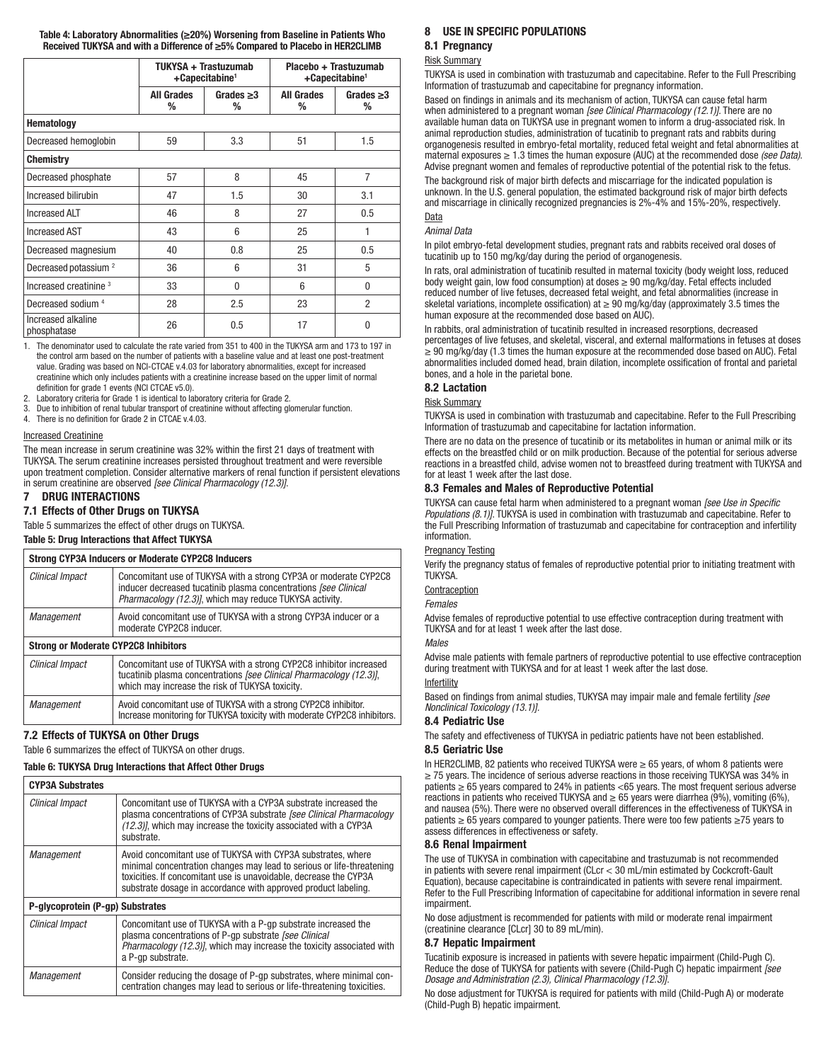Table 4: Laboratory Abnormalities (≥20%) Worsening from Baseline in Patients Who Received TUKYSA and with a Difference of ≥5% Compared to Placebo in HER2CLIMB

|                                   |                        | TUKYSA + Trastuzumab<br>+Capecitabine <sup>1</sup> |                        | Placebo + Trastuzumab<br>+Capecitabine <sup>1</sup> |  |
|-----------------------------------|------------------------|----------------------------------------------------|------------------------|-----------------------------------------------------|--|
|                                   | <b>All Grades</b><br>℅ | Grades $\geq 3$<br>℅                               | <b>All Grades</b><br>℅ | Grades $\geq 3$<br>℅                                |  |
| Hematology                        |                        |                                                    |                        |                                                     |  |
| Decreased hemoglobin              | 59                     | 3.3                                                | 51                     | 1.5                                                 |  |
| <b>Chemistry</b>                  |                        |                                                    |                        |                                                     |  |
| Decreased phosphate               | 57                     | 8                                                  | 45                     | $\overline{7}$                                      |  |
| Increased bilirubin               | 47                     | 1.5                                                | 30                     | 3.1                                                 |  |
| <b>Increased ALT</b>              | 46                     | 8                                                  | 27                     | 0.5                                                 |  |
| <b>Increased AST</b>              | 43                     | 6                                                  | 25                     | 1                                                   |  |
| Decreased magnesium               | 40                     | 0.8                                                | 25                     | 0.5                                                 |  |
| Decreased potassium <sup>2</sup>  | 36                     | 6                                                  | 31                     | 5                                                   |  |
| Increased creatinine <sup>3</sup> | 33                     | 0                                                  | 6                      | 0                                                   |  |
| Decreased sodium <sup>4</sup>     | 28                     | 2.5                                                | 23                     | $\overline{2}$                                      |  |
| Increased alkaline<br>phosphatase | 26                     | 0.5                                                | 17                     | 0                                                   |  |

1. The denominator used to calculate the rate varied from 351 to 400 in the TUKYSA arm and 173 to 197 in the control arm based on the number of patients with a baseline value and at least one post-treatment value. Grading was based on NCI-CTCAE v.4.03 for laboratory abnormalities, except for increased creatinine which only includes patients with a creatinine increase based on the upper limit of normal definition for grade 1 events (NCI CTCAE v5.0).

2. Laboratory criteria for Grade 1 is identical to laboratory criteria for Grade 2.

3. Due to inhibition of renal tubular transport of creatinine without affecting glomerular function.

4. There is no definition for Grade 2 in CTCAE v.4.03.

#### Increased Creatinine

The mean increase in serum creatinine was 32% within the first 21 days of treatment with TUKYSA. The serum creatinine increases persisted throughout treatment and were reversible upon treatment completion. Consider alternative markers of renal function if persistent elevations in serum creatinine are observed *[see Clinical Pharmacology (12.3)]*.

#### 7 DRUG INTERACTIONS

#### 7.1 Effects of Other Drugs on TUKYSA

Table 5 summarizes the effect of other drugs on TUKYSA.

Table 5: Drug Interactions that Affect TUKYSA

|                        | <b>Strong CYP3A Inducers or Moderate CYP2C8 Inducers</b>                                                                                                                                       |
|------------------------|------------------------------------------------------------------------------------------------------------------------------------------------------------------------------------------------|
| <b>Clinical Impact</b> | Concomitant use of TUKYSA with a strong CYP3A or moderate CYP2C8<br>inducer decreased tucatinib plasma concentrations [see Clinical<br>Pharmacology (12.3)], which may reduce TUKYSA activity. |
| Management             | Avoid concomitant use of TUKYSA with a strong CYP3A inducer or a<br>moderate CYP2C8 inducer.                                                                                                   |
|                        | <b>Strong or Moderate CYP2C8 Inhibitors</b>                                                                                                                                                    |
| <b>Clinical Impact</b> | Concomitant use of TUKYSA with a strong CYP2C8 inhibitor increased<br>tucatinib plasma concentrations [see Clinical Pharmacology (12.3)],<br>which may increase the risk of TUKYSA toxicity.   |
| Management             | Avoid concomitant use of TUKYSA with a strong CYP2C8 inhibitor.<br>Increase monitoring for TUKYSA toxicity with moderate CYP2C8 inhibitors.                                                    |
|                        |                                                                                                                                                                                                |

#### 7.2 Effects of TUKYSA on Other Drugs

Table 6 summarizes the effect of TUKYSA on other drugs.

#### Table 6: TUKYSA Drug Interactions that Affect Other Drugs

| <b>CYP3A Substrates</b>          |                                                                                                                                                                                                                                                                              |
|----------------------------------|------------------------------------------------------------------------------------------------------------------------------------------------------------------------------------------------------------------------------------------------------------------------------|
| <b>Clinical Impact</b>           | Concomitant use of TUKYSA with a CYP3A substrate increased the<br>plasma concentrations of CYP3A substrate [see Clinical Pharmacology<br>(12.3)], which may increase the toxicity associated with a CYP3A<br>substrate.                                                      |
| Management                       | Avoid concomitant use of TUKYSA with CYP3A substrates, where<br>minimal concentration changes may lead to serious or life-threatening<br>toxicities. If concomitant use is unavoidable, decrease the CYP3A<br>substrate dosage in accordance with approved product labeling. |
| P-glycoprotein (P-gp) Substrates |                                                                                                                                                                                                                                                                              |
| <b>Clinical Impact</b>           | Concomitant use of TUKYSA with a P-gp substrate increased the<br>plasma concentrations of P-qp substrate [see Clinical]<br>Pharmacology (12.3), which may increase the toxicity associated with<br>a P-qp substrate.                                                         |
| Management                       | Consider reducing the dosage of P-gp substrates, where minimal con-<br>centration changes may lead to serious or life-threatening toxicities.                                                                                                                                |

#### 8 USE IN SPECIFIC POPULATIONS 8.1 Pregnancy

# Risk Summary

TUKYSA is used in combination with trastuzumab and capecitabine. Refer to the Full Prescribing Information of trastuzumab and capecitabine for pregnancy information.

Based on findings in animals and its mechanism of action, TUKYSA can cause fetal harm when administered to a pregnant woman *[see Clinical Pharmacology (12.1)]*. There are no available human data on TUKYSA use in pregnant women to inform a drug-associated risk. In animal reproduction studies, administration of tucatinib to pregnant rats and rabbits during organogenesis resulted in embryo-fetal mortality, reduced fetal weight and fetal abnormalities at maternal exposures ≥ 1.3 times the human exposure (AUC) at the recommended dose *(see Data)*. Advise pregnant women and females of reproductive potential of the potential risk to the fetus.

The background risk of major birth defects and miscarriage for the indicated population is unknown. In the U.S. general population, the estimated background risk of major birth defects and miscarriage in clinically recognized pregnancies is 2%-4% and 15%-20%, respectively. Data

#### *Animal Data*

In pilot embryo-fetal development studies, pregnant rats and rabbits received oral doses of tucatinib up to 150 mg/kg/day during the period of organogenesis.

In rats, oral administration of tucatinib resulted in maternal toxicity (body weight loss, reduced body weight gain, low food consumption) at doses ≥ 90 mg/kg/day. Fetal effects included reduced number of live fetuses, decreased fetal weight, and fetal abnormalities (increase in skeletal variations, incomplete ossification) at  $\geq 90$  mg/kg/day (approximately 3.5 times the human exposure at the recommended dose based on AUC).

In rabbits, oral administration of tucatinib resulted in increased resorptions, decreased percentages of live fetuses, and skeletal, visceral, and external malformations in fetuses at doses ≥ 90 mg/kg/day (1.3 times the human exposure at the recommended dose based on AUC). Fetal abnormalities included domed head, brain dilation, incomplete ossification of frontal and parietal bones, and a hole in the parietal bone.

### 8.2 Lactation

#### Risk Summary

TUKYSA is used in combination with trastuzumab and capecitabine. Refer to the Full Prescribing Information of trastuzumab and capecitabine for lactation information.

There are no data on the presence of tucatinib or its metabolites in human or animal milk or its effects on the breastfed child or on milk production. Because of the potential for serious adverse reactions in a breastfed child, advise women not to breastfeed during treatment with TUKYSA and for at least 1 week after the last dose.

#### 8.3 Females and Males of Reproductive Potential

TUKYSA can cause fetal harm when administered to a pregnant woman *[see Use in Specific Populations (8.1)]*. TUKYSA is used in combination with trastuzumab and capecitabine. Refer to the Full Prescribing Information of trastuzumab and capecitabine for contraception and infertility information.

#### Pregnancy Testing

Verify the pregnancy status of females of reproductive potential prior to initiating treatment with **TUKYSA** 

#### **Contraception**

#### *Females*

Advise females of reproductive potential to use effective contraception during treatment with TUKYSA and for at least 1 week after the last dose.

#### *Males*

Advise male patients with female partners of reproductive potential to use effective contraception during treatment with TUKYSA and for at least 1 week after the last dose.

#### **Infertility**

Based on findings from animal studies, TUKYSA may impair male and female fertility *[see Nonclinical Toxicology (13.1)].*

#### 8.4 Pediatric Use

The safety and effectiveness of TUKYSA in pediatric patients have not been established.

#### 8.5 Geriatric Use

In HER2CLIMB, 82 patients who received TUKYSA were ≥ 65 years, of whom 8 patients were ≥ 75 years. The incidence of serious adverse reactions in those receiving TUKYSA was 34% in patients ≥ 65 years compared to 24% in patients <65 years. The most frequent serious adverse reactions in patients who received TUKYSA and  $\geq 65$  years were diarrhea (9%), vomiting (6%), and nausea (5%). There were no observed overall differences in the effectiveness of TUKYSA in patients ≥ 65 years compared to younger patients. There were too few patients ≥75 years to assess differences in effectiveness or safety.

#### 8.6 Renal Impairment

The use of TUKYSA in combination with capecitabine and trastuzumab is not recommended in patients with severe renal impairment (CLcr < 30 mL/min estimated by Cockcroft-Gault Equation), because capecitabine is contraindicated in patients with severe renal impairment. Refer to the Full Prescribing Information of capecitabine for additional information in severe renal impairment.

No dose adjustment is recommended for patients with mild or moderate renal impairment (creatinine clearance [CLcr] 30 to 89 mL/min).

#### 8.7 Hepatic Impairment

Tucatinib exposure is increased in patients with severe hepatic impairment (Child-Pugh C). Reduce the dose of TUKYSA for patients with severe (Child-Pugh C) hepatic impairment *[see Dosage and Administration (2.3), Clinical Pharmacology (12.3)]*.

No dose adjustment for TUKYSA is required for patients with mild (Child-Pugh A) or moderate (Child-Pugh B) hepatic impairment.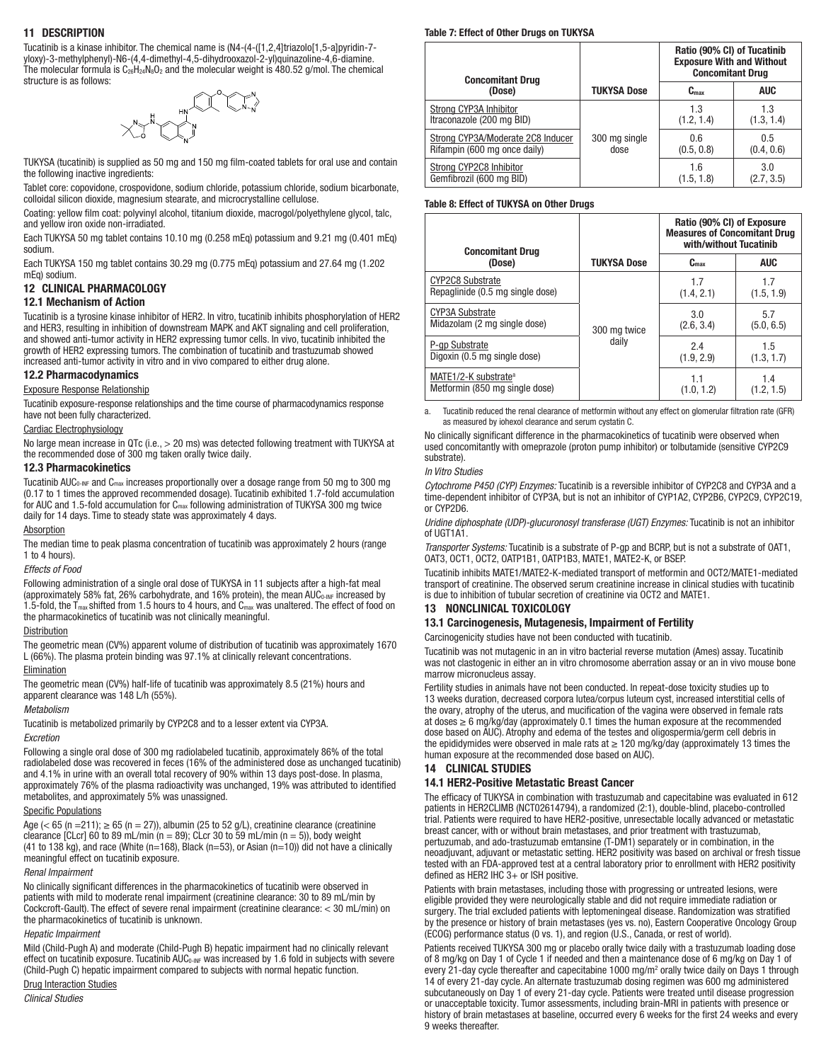#### 11 DESCRIPTION

Tucatinib is a kinase inhibitor. The chemical name is (N4-(4-([1,2,4]triazolo[1,5-a]pyridin-7 yloxy)-3-methylphenyl)-N6-(4,4-dimethyl-4,5-dihydrooxazol-2-yl)quinazoline-4,6-diamine. The molecular formula is  $C_{26}H_{24}N_8O_2$  and the molecular weight is 480.52 g/mol. The chemical structure is as follows:



TUKYSA (tucatinib) is supplied as 50 mg and 150 mg film-coated tablets for oral use and contain the following inactive ingredients:

Tablet core: copovidone, crospovidone, sodium chloride, potassium chloride, sodium bicarbonate, colloidal silicon dioxide, magnesium stearate, and microcrystalline cellulose.

Coating: yellow film coat: polyvinyl alcohol, titanium dioxide, macrogol/polyethylene glycol, talc, and yellow iron oxide non-irradiated.

Each TUKYSA 50 mg tablet contains 10.10 mg (0.258 mEq) potassium and 9.21 mg (0.401 mEq) sodium.

Each TUKYSA 150 mg tablet contains 30.29 mg (0.775 mEq) potassium and 27.64 mg (1.202 mEq) sodium.

# 12 CLINICAL PHARMACOLOGY

#### 12.1 Mechanism of Action

Tucatinib is a tyrosine kinase inhibitor of HER2. In vitro, tucatinib inhibits phosphorylation of HER2 and HER3, resulting in inhibition of downstream MAPK and AKT signaling and cell proliferation, and showed anti-tumor activity in HER2 expressing tumor cells. In vivo, tucatinib inhibited the growth of HER2 expressing tumors. The combination of tucatinib and trastuzumab showed increased anti-tumor activity in vitro and in vivo compared to either drug alone.

#### 12.2 Pharmacodynamics

Exposure Response Relationship

Tucatinib exposure-response relationships and the time course of pharmacodynamics response have not been fully characterized.

#### Cardiac Electrophysiology

No large mean increase in QTc (i.e., > 20 ms) was detected following treatment with TUKYSA at the recommended dose of 300 mg taken orally twice daily.

#### 12.3 Pharmacokinetics

Tucatinib AUC<sub>0-INF</sub> and C<sub>max</sub> increases proportionally over a dosage range from 50 mg to 300 mg (0.17 to 1 times the approved recommended dosage). Tucatinib exhibited 1.7-fold accumulation for AUC and 1.5-fold accumulation for C<sub>max</sub> following administration of TUKYSA 300 mg twice daily for 14 days. Time to steady state was approximately 4 days.

#### **Absorption**

The median time to peak plasma concentration of tucatinib was approximately 2 hours (range 1 to 4 hours).

#### *Effects of Food*

Following administration of a single oral dose of TUKYSA in 11 subjects after a high-fat meal (approximately 58% fat, 26% carbohydrate, and 16% protein), the mean AUC<sub>0-INF</sub> increased by 1.5-fold, the  $T_{\text{max}}$  shifted from 1.5 hours to 4 hours, and  $C_{\text{max}}$  was unaltered. The effect of food on the pharmacokinetics of tucatinib was not clinically meaningful.

#### **Distribution**

The geometric mean (CV%) apparent volume of distribution of tucatinib was approximately 1670 L (66%). The plasma protein binding was 97.1% at clinically relevant concentrations.

#### Elimination

The geometric mean (CV%) half-life of tucatinib was approximately 8.5 (21%) hours and apparent clearance was 148 L/h (55%).

#### *Metabolism*

Tucatinib is metabolized primarily by CYP2C8 and to a lesser extent via CYP3A. *Excretion*

Following a single oral dose of 300 mg radiolabeled tucatinib, approximately 86% of the total radiolabeled dose was recovered in feces (16% of the administered dose as unchanged tucatinib) and 4.1% in urine with an overall total recovery of 90% within 13 days post-dose. In plasma, approximately 76% of the plasma radioactivity was unchanged, 19% was attributed to identified metabolites, and approximately 5% was unassigned.

#### Specific Populations

Age (< 65 (n = 211);  $\geq$  65 (n = 27)), albumin (25 to 52 g/L), creatinine clearance (creatinine clearance [CLcr] 60 to 89 mL/min ( $n = 89$ ); CLcr 30 to 59 mL/min ( $n = 5$ )), body weight (41 to 138 kg), and race (White (n=168), Black (n=53), or Asian (n=10)) did not have a clinically meaningful effect on tucatinib exposure.

#### *Renal Impairment*

No clinically significant differences in the pharmacokinetics of tucatinib were observed in patients with mild to moderate renal impairment (creatinine clearance: 30 to 89 mL/min by Cockcroft-Gault). The effect of severe renal impairment (creatinine clearance: < 30 mL/min) on the pharmacokinetics of tucatinib is unknown.

#### *Hepatic Impairment*

Mild (Child-Pugh A) and moderate (Child-Pugh B) hepatic impairment had no clinically relevant effect on tucatinib exposure. Tucatinib AUC<sub>0-INF</sub> was increased by 1.6 fold in subjects with severe (Child-Pugh C) hepatic impairment compared to subjects with normal hepatic function.

#### Drug Interaction Studies

*Clinical Studies*

#### Table 7: Effect of Other Drugs on TUKYSA

| <b>Concomitant Drug</b>           |                    | Ratio (90% CI) of Tucatinib<br><b>Exposure With and Without</b><br><b>Concomitant Drug</b> |            |
|-----------------------------------|--------------------|--------------------------------------------------------------------------------------------|------------|
| (Dose)                            | <b>TUKYSA Dose</b> | $C_{\rm max}$                                                                              | <b>AUC</b> |
| Strong CYP3A Inhibitor            |                    | 1.3                                                                                        | 1.3        |
| Itraconazole (200 mg BID)         |                    | (1.2, 1.4)                                                                                 | (1.3, 1.4) |
| Strong CYP3A/Moderate 2C8 Inducer | 300 mg single      | 0.6                                                                                        | 0.5        |
| Rifampin (600 mg once daily)      | dose               | (0.5, 0.8)                                                                                 | (0.4, 0.6) |
| Strong CYP2C8 Inhibitor           |                    | 1.6                                                                                        | 3.0        |
| Gemfibrozil (600 mg BID)          |                    | (1.5, 1.8)                                                                                 | (2.7, 3.5) |

#### Table 8: Effect of TUKYSA on Other Drugs

| <b>Concomitant Drug</b>          |                    | Ratio (90% CI) of Exposure<br><b>Measures of Concomitant Drug</b><br>with/without Tucatinib |            |  |
|----------------------------------|--------------------|---------------------------------------------------------------------------------------------|------------|--|
| (Dose)                           | <b>TUKYSA Dose</b> | C <sub>max</sub>                                                                            | <b>AUC</b> |  |
| <b>CYP2C8 Substrate</b>          |                    | 1.7                                                                                         | 1.7        |  |
| Repaglinide (0.5 mg single dose) |                    | (1.4, 2.1)                                                                                  | (1.5, 1.9) |  |
| CYP3A Substrate                  | 300 mg twice       | 3.0                                                                                         | 5.7        |  |
| Midazolam (2 mg single dose)     |                    | (2.6, 3.4)                                                                                  | (5.0, 6.5) |  |
| P-gp Substrate                   | daily              | 2.4                                                                                         | 1.5        |  |
| Digoxin (0.5 mg single dose)     |                    | (1.9, 2.9)                                                                                  | (1.3, 1.7) |  |
| MATE1/2-K substrate <sup>a</sup> |                    | 1.1                                                                                         | 1.4        |  |
| Metformin (850 mg single dose)   |                    | (1.0, 1.2)                                                                                  | (1.2, 1.5) |  |

a. Tucatinib reduced the renal clearance of metformin without any effect on glomerular filtration rate (GFR) as measured by iohexol clearance and serum cystatin C.

No clinically significant difference in the pharmacokinetics of tucatinib were observed when used concomitantly with omeprazole (proton pump inhibitor) or tolbutamide (sensitive CYP2C9 substrate).

#### *In Vitro Studies*

*Cytochrome P450 (CYP) Enzymes:* Tucatinib is a reversible inhibitor of CYP2C8 and CYP3A and a time-dependent inhibitor of CYP3A, but is not an inhibitor of CYP1A2, CYP2B6, CYP2C9, CYP2C19, or CYP2D6.

*Uridine diphosphate (UDP)-glucuronosyl transferase (UGT) Enzymes:* Tucatinib is not an inhibitor of UGT1A1.

*Transporter Systems:* Tucatinib is a substrate of P-gp and BCRP, but is not a substrate of OAT1, OAT3, OCT1, OCT2, OATP1B1, OATP1B3, MATE1, MATE2-K, or BSEP.

Tucatinib inhibits MATE1/MATE2-K-mediated transport of metformin and OCT2/MATE1-mediated transport of creatinine. The observed serum creatinine increase in clinical studies with tucatinib is due to inhibition of tubular secretion of creatinine via OCT2 and MATE1.

#### 13 NONCLINICAL TOXICOLOGY

#### 13.1 Carcinogenesis, Mutagenesis, Impairment of Fertility

Carcinogenicity studies have not been conducted with tucatinib.

Tucatinib was not mutagenic in an in vitro bacterial reverse mutation (Ames) assay. Tucatinib was not clastogenic in either an in vitro chromosome aberration assay or an in vivo mouse bone marrow micronucleus assay.

Fertility studies in animals have not been conducted. In repeat-dose toxicity studies up to 13 weeks duration, decreased corpora lutea/corpus luteum cyst, increased interstitial cells of the ovary, atrophy of the uterus, and mucification of the vagina were observed in female rats at doses  $\geq 6$  mg/kg/day (approximately 0.1 times the human exposure at the recommended dose based on AUC). Atrophy and edema of the testes and oligospermia/germ cell debris in the epididymides were observed in male rats at  $\geq$  120 mg/kg/day (approximately 13 times the human exposure at the recommended dose based on AUC).

#### 14 CLINICAL STUDIES

#### 14.1 HER2-Positive Metastatic Breast Cancer

The efficacy of TUKYSA in combination with trastuzumab and capecitabine was evaluated in 612 patients in HER2CLIMB (NCT02614794), a randomized (2:1), double-blind, placebo-controlled trial. Patients were required to have HER2-positive, unresectable locally advanced or metastatic breast cancer, with or without brain metastases, and prior treatment with trastuzumab, pertuzumab, and ado-trastuzumab emtansine (T-DM1) separately or in combination, in the neoadjuvant, adjuvant or metastatic setting. HER2 positivity was based on archival or fresh tissue tested with an FDA-approved test at a central laboratory prior to enrollment with HER2 positivity defined as HER2 IHC 3+ or ISH positive.

Patients with brain metastases, including those with progressing or untreated lesions, were eligible provided they were neurologically stable and did not require immediate radiation or surgery. The trial excluded patients with leptomeningeal disease. Randomization was stratified by the presence or history of brain metastases (yes vs. no), Eastern Cooperative Oncology Group (ECOG) performance status (0 vs. 1), and region (U.S., Canada, or rest of world).

Patients received TUKYSA 300 mg or placebo orally twice daily with a trastuzumab loading dose of 8 mg/kg on Day 1 of Cycle 1 if needed and then a maintenance dose of 6 mg/kg on Day 1 of every 21-day cycle thereafter and capecitabine  $1000 \text{ mg/m}^2$  orally twice daily on Days 1 through 14 of every 21-day cycle. An alternate trastuzumab dosing regimen was 600 mg administered subcutaneously on Day 1 of every 21-day cycle. Patients were treated until disease progression or unacceptable toxicity. Tumor assessments, including brain-MRI in patients with presence or history of brain metastases at baseline, occurred every 6 weeks for the first 24 weeks and every 9 weeks thereafter.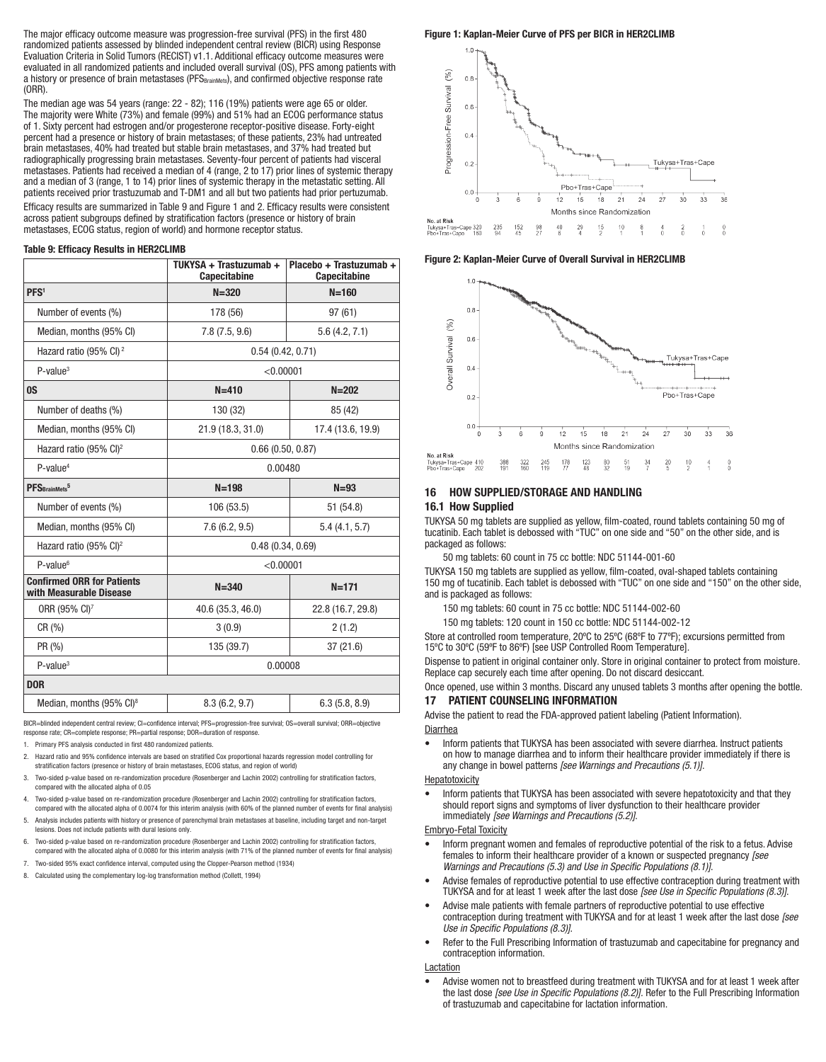The major efficacy outcome measure was progression-free survival (PFS) in the first 480 randomized patients assessed by blinded independent central review (BICR) using Response Evaluation Criteria in Solid Tumors (RECIST) v1.1. Additional efficacy outcome measures were evaluated in all randomized patients and included overall survival (OS), PFS among patients with a history or presence of brain metastases (PFSBRainMets), and confirmed objective response rate (ORR).

The median age was 54 years (range: 22 - 82); 116 (19%) patients were age 65 or older. The majority were White (73%) and female (99%) and 51% had an ECOG performance status of 1. Sixty percent had estrogen and/or progesterone receptor-positive disease. Forty-eight percent had a presence or history of brain metastases; of these patients, 23% had untreated brain metastases, 40% had treated but stable brain metastases, and 37% had treated but radiographically progressing brain metastases. Seventy-four percent of patients had visceral metastases. Patients had received a median of 4 (range, 2 to 17) prior lines of systemic therapy and a median of 3 (range, 1 to 14) prior lines of systemic therapy in the metastatic setting. All patients received prior trastuzumab and T-DM1 and all but two patients had prior pertuzumab. Efficacy results are summarized in Table 9 and Figure 1 and 2. Efficacy results were consistent

across patient subgroups defined by stratification factors (presence or history of brain metastases, ECOG status, region of world) and hormone receptor status.

#### Table 9: Efficacy Results in HER2CLIMB

|                                                              | TUKYSA + Trastuzumab +<br><b>Capecitabine</b> | Placebo + Trastuzumab +<br><b>Capecitabine</b> |
|--------------------------------------------------------------|-----------------------------------------------|------------------------------------------------|
| PFS <sup>1</sup>                                             | $N = 320$                                     | $N = 160$                                      |
| Number of events (%)                                         | 178 (56)                                      | 97(61)                                         |
| Median, months (95% CI)                                      | 7.8(7.5, 9.6)                                 | 5.6(4.2, 7.1)                                  |
| Hazard ratio (95% CI) <sup>2</sup>                           | 0.54(0.42, 0.71)                              |                                                |
| $P-value3$                                                   | < 0.00001                                     |                                                |
| <sub>0</sub> S                                               | $N = 410$                                     | $N = 202$                                      |
| Number of deaths (%)                                         | 130 (32)                                      | 85 (42)                                        |
| Median, months (95% CI)                                      | 21.9 (18.3, 31.0)                             | 17.4 (13.6, 19.9)                              |
| Hazard ratio (95% CI) <sup>2</sup>                           | 0.66(0.50, 0.87)                              |                                                |
| $P-value4$                                                   | 0.00480                                       |                                                |
| PFS <sub>BrainMets</sub> <sup>5</sup>                        | $N = 198$                                     | $N = 93$                                       |
| Number of events (%)                                         | 106 (53.5)                                    | 51 (54.8)                                      |
| Median, months (95% CI)                                      | 7.6(6.2, 9.5)                                 | 5.4(4.1, 5.7)                                  |
| Hazard ratio (95% CI) <sup>2</sup>                           | 0.48(0.34, 0.69)                              |                                                |
| $P$ -value $6$                                               | < 0.00001                                     |                                                |
| <b>Confirmed ORR for Patients</b><br>with Measurable Disease | $N = 340$                                     | $N = 171$                                      |
| ORR (95% CI) <sup>7</sup>                                    | 40.6 (35.3, 46.0)                             | 22.8 (16.7, 29.8)                              |
| CR (%)                                                       | 3(0.9)                                        | 2(1.2)                                         |
| PR (%)                                                       | 135 (39.7)                                    | 37(21.6)                                       |
| $P-value3$                                                   | 0.00008                                       |                                                |
| <b>DOR</b>                                                   |                                               |                                                |
| Median, months (95% CI) <sup>8</sup>                         | 8.3(6.2, 9.7)                                 | 6.3(5.8, 8.9)                                  |

BICR=blinded independent central review; CI=confidence interval; PFS=progression-free survival; OS=overall survival; ORR=objective response rate; CR=complete response; PR=partial response; DOR=duration of response.

1. Primary PFS analysis conducted in first 480 randomized patients.

- 2. Hazard ratio and 95% confidence intervals are based on stratified Cox proportional hazards regression model controlling for stratification factors (presence or history of brain metastases, ECOG status, and region of world)
- Two-sided p-value based on re-randomization procedure (Rosenberger and Lachin 2002) controlling for stratification factors compared with the allocated alpha of 0.05
- 4. Two-sided p-value based on re-randomization procedure (Rosenberger and Lachin 2002) controlling for stratification factors, compared with the allocated alpha of 0.0074 for this interim analysis (with 60% of the planned number of events for final analysis)
- 5. Analysis includes patients with history or presence of parenchymal brain metastases at baseline, including target and non-target lesions. Does not include patients with dural lesions only.
- Two-sided p-value based on re-randomization procedure (Rosenberger and Lachin 2002) controlling for stratification factors, compared with the allocated alpha of 0.0080 for this interim analysis (with 71% of the planned number of events for final analysis)
- 7. Two-sided 95% exact confidence interval, computed using the Clopper-Pearson method (1934)
- 8. Calculated using the complementary log-log transformation method (Collett, 1994)

Figure 1: Kaplan-Meier Curve of PFS per BICR in HER2CLIMB



Figure 2: Kaplan-Meier Curve of Overall Survival in HER2CLIMB



#### 16 HOW SUPPLIED/STORAGE AND HANDLING 16.1 How Supplied

TUKYSA 50 mg tablets are supplied as yellow, film-coated, round tablets containing 50 mg of tucatinib. Each tablet is debossed with "TUC" on one side and "50" on the other side, and is packaged as follows:

50 mg tablets: 60 count in 75 cc bottle: NDC 51144-001-60

TUKYSA 150 mg tablets are supplied as yellow, film-coated, oval-shaped tablets containing 150 mg of tucatinib. Each tablet is debossed with "TUC" on one side and "150" on the other side, and is packaged as follows:

150 mg tablets: 60 count in 75 cc bottle: NDC 51144-002-60

150 mg tablets: 120 count in 150 cc bottle: NDC 51144-002-12

Store at controlled room temperature, 20ºC to 25ºC (68ºF to 77ºF); excursions permitted from 15ºC to 30ºC (59ºF to 86ºF) [see USP Controlled Room Temperature].

Dispense to patient in original container only. Store in original container to protect from moisture. Replace cap securely each time after opening. Do not discard desiccant.

Once opened, use within 3 months. Discard any unused tablets 3 months after opening the bottle. 17 PATIENT COUNSELING INFORMATION

Advise the patient to read the FDA-approved patient labeling (Patient Information). Diarrhea

• Inform patients that TUKYSA has been associated with severe diarrhea. Instruct patients on how to manage diarrhea and to inform their healthcare provider immediately if there is any change in bowel patterns *[see Warnings and Precautions (5.1)]*.

#### **Hepatotoxicity**

• Inform patients that TUKYSA has been associated with severe hepatotoxicity and that they should report signs and symptoms of liver dysfunction to their healthcare provider immediately *[see Warnings and Precautions (5.2)]*.

#### Embryo-Fetal Toxicity

- Inform pregnant women and females of reproductive potential of the risk to a fetus. Advise females to inform their healthcare provider of a known or suspected pregnancy *[see Warnings and Precautions (5.3) and Use in Specific Populations (8.1)]*.
- Advise females of reproductive potential to use effective contraception during treatment with TUKYSA and for at least 1 week after the last dose *[see Use in Specific Populations (8.3)]*.
- Advise male patients with female partners of reproductive potential to use effective contraception during treatment with TUKYSA and for at least 1 week after the last dose *[see Use in Specific Populations (8.3)]*.
- Refer to the Full Prescribing Information of trastuzumab and capecitabine for pregnancy and contraception information.

#### Lactation

• Advise women not to breastfeed during treatment with TUKYSA and for at least 1 week after the last dose *[see Use in Specific Populations (8.2)].* Refer to the Full Prescribing Information of trastuzumab and capecitabine for lactation information.